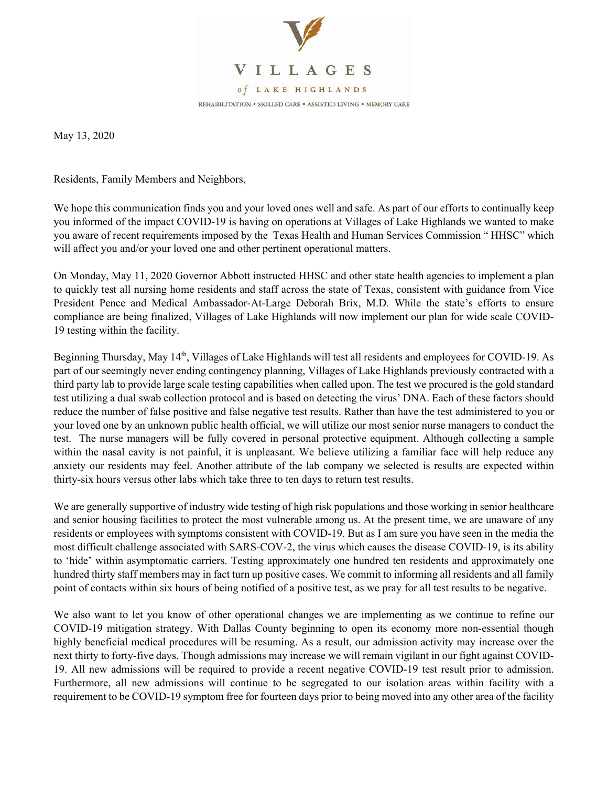

May 13, 2020

Residents, Family Members and Neighbors,

We hope this communication finds you and your loved ones well and safe. As part of our efforts to continually keep you informed of the impact COVID-19 is having on operations at Villages of Lake Highlands we wanted to make you aware of recent requirements imposed by the Texas Health and Human Services Commission " HHSC" which will affect you and/or your loved one and other pertinent operational matters.

On Monday, May 11, 2020 Governor Abbott instructed HHSC and other state health agencies to implement a plan to quickly test all nursing home residents and staff across the state of Texas, consistent with guidance from Vice President Pence and Medical Ambassador-At-Large Deborah Brix, M.D. While the state's efforts to ensure compliance are being finalized, Villages of Lake Highlands will now implement our plan for wide scale COVID-19 testing within the facility.

Beginning Thursday, May 14<sup>th</sup>, Villages of Lake Highlands will test all residents and employees for COVID-19. As part of our seemingly never ending contingency planning, Villages of Lake Highlands previously contracted with a third party lab to provide large scale testing capabilities when called upon. The test we procured is the gold standard test utilizing a dual swab collection protocol and is based on detecting the virus' DNA. Each of these factors should reduce the number of false positive and false negative test results. Rather than have the test administered to you or your loved one by an unknown public health official, we will utilize our most senior nurse managers to conduct the test. The nurse managers will be fully covered in personal protective equipment. Although collecting a sample within the nasal cavity is not painful, it is unpleasant. We believe utilizing a familiar face will help reduce any anxiety our residents may feel. Another attribute of the lab company we selected is results are expected within thirty-six hours versus other labs which take three to ten days to return test results.

We are generally supportive of industry wide testing of high risk populations and those working in senior healthcare and senior housing facilities to protect the most vulnerable among us. At the present time, we are unaware of any residents or employees with symptoms consistent with COVID-19. But as I am sure you have seen in the media the most difficult challenge associated with SARS-COV-2, the virus which causes the disease COVID-19, is its ability to 'hide' within asymptomatic carriers. Testing approximately one hundred ten residents and approximately one hundred thirty staff members may in fact turn up positive cases. We commit to informing all residents and all family point of contacts within six hours of being notified of a positive test, as we pray for all test results to be negative.

We also want to let you know of other operational changes we are implementing as we continue to refine our COVID-19 mitigation strategy. With Dallas County beginning to open its economy more non-essential though highly beneficial medical procedures will be resuming. As a result, our admission activity may increase over the next thirty to forty-five days. Though admissions may increase we will remain vigilant in our fight against COVID-19. All new admissions will be required to provide a recent negative COVID-19 test result prior to admission. Furthermore, all new admissions will continue to be segregated to our isolation areas within facility with a requirement to be COVID-19 symptom free for fourteen days prior to being moved into any other area of the facility